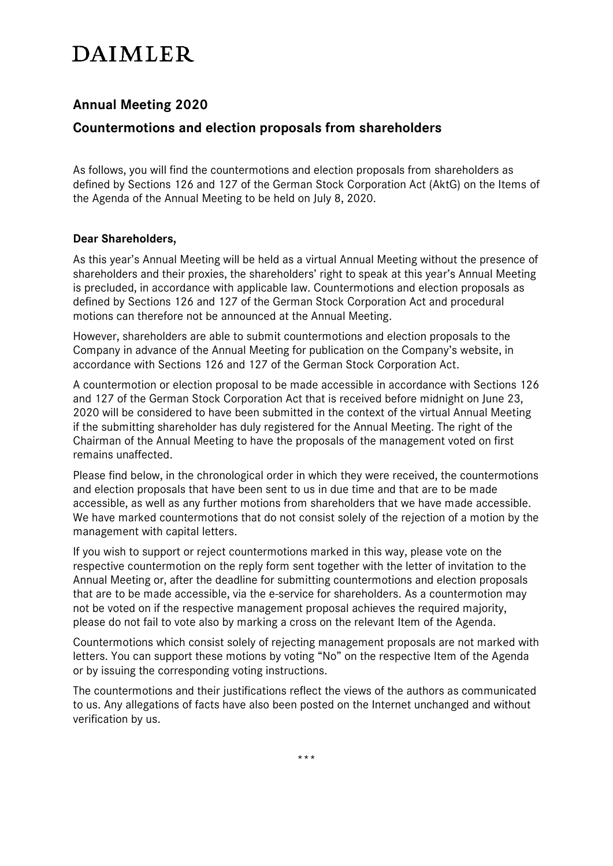# **DAIMLER**

# **Annual Meeting 2020**

## **Countermotions and election proposals from shareholders**

As follows, you will find the countermotions and election proposals from shareholders as defined by Sections 126 and 127 of the German Stock Corporation Act (AktG) on the Items of the Agenda of the Annual Meeting to be held on July 8, 2020.

## **Dear Shareholders,**

As this year's Annual Meeting will be held as a virtual Annual Meeting without the presence of shareholders and their proxies, the shareholders' right to speak at this year's Annual Meeting is precluded, in accordance with applicable law. Countermotions and election proposals as defined by Sections 126 and 127 of the German Stock Corporation Act and procedural motions can therefore not be announced at the Annual Meeting.

However, shareholders are able to submit countermotions and election proposals to the Company in advance of the Annual Meeting for publication on the Company's website, in accordance with Sections 126 and 127 of the German Stock Corporation Act.

A countermotion or election proposal to be made accessible in accordance with Sections 126 and 127 of the German Stock Corporation Act that is received before midnight on June 23, 2020 will be considered to have been submitted in the context of the virtual Annual Meeting if the submitting shareholder has duly registered for the Annual Meeting. The right of the Chairman of the Annual Meeting to have the proposals of the management voted on first remains unaffected.

Please find below, in the chronological order in which they were received, the countermotions and election proposals that have been sent to us in due time and that are to be made accessible, as well as any further motions from shareholders that we have made accessible. We have marked countermotions that do not consist solely of the rejection of a motion by the management with capital letters.

If you wish to support or reject countermotions marked in this way, please vote on the respective countermotion on the reply form sent together with the letter of invitation to the Annual Meeting or, after the deadline for submitting countermotions and election proposals that are to be made accessible, via the e-service for shareholders. As a countermotion may not be voted on if the respective management proposal achieves the required majority, please do not fail to vote also by marking a cross on the relevant Item of the Agenda.

Countermotions which consist solely of rejecting management proposals are not marked with letters. You can support these motions by voting "No" on the respective Item of the Agenda or by issuing the corresponding voting instructions.

The countermotions and their justifications reflect the views of the authors as communicated to us. Any allegations of facts have also been posted on the Internet unchanged and without verification by us.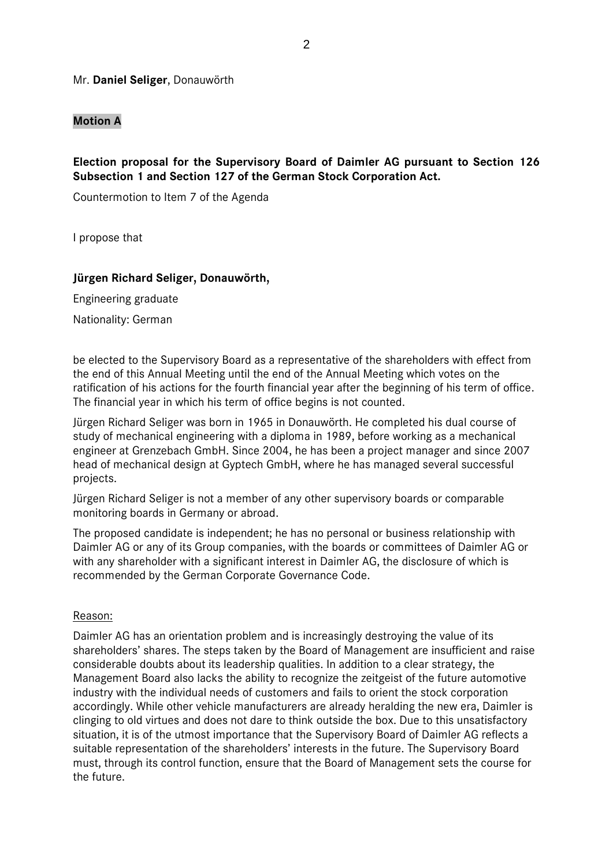#### Mr. **Daniel Seliger**, Donauwörth

#### **Motion A**

**Election proposal for the Supervisory Board of Daimler AG pursuant to Section 126 Subsection 1 and Section 127 of the German Stock Corporation Act.**

Countermotion to Item 7 of the Agenda

I propose that

#### **Jürgen Richard Seliger, Donauwörth,**

Engineering graduate Nationality: German

be elected to the Supervisory Board as a representative of the shareholders with effect from the end of this Annual Meeting until the end of the Annual Meeting which votes on the ratification of his actions for the fourth financial year after the beginning of his term of office. The financial year in which his term of office begins is not counted.

Jürgen Richard Seliger was born in 1965 in Donauwörth. He completed his dual course of study of mechanical engineering with a diploma in 1989, before working as a mechanical engineer at Grenzebach GmbH. Since 2004, he has been a project manager and since 2007 head of mechanical design at Gyptech GmbH, where he has managed several successful projects.

Jürgen Richard Seliger is not a member of any other supervisory boards or comparable monitoring boards in Germany or abroad.

The proposed candidate is independent; he has no personal or business relationship with Daimler AG or any of its Group companies, with the boards or committees of Daimler AG or with any shareholder with a significant interest in Daimler AG, the disclosure of which is recommended by the German Corporate Governance Code.

#### Reason:

Daimler AG has an orientation problem and is increasingly destroying the value of its shareholders' shares. The steps taken by the Board of Management are insufficient and raise considerable doubts about its leadership qualities. In addition to a clear strategy, the Management Board also lacks the ability to recognize the zeitgeist of the future automotive industry with the individual needs of customers and fails to orient the stock corporation accordingly. While other vehicle manufacturers are already heralding the new era, Daimler is clinging to old virtues and does not dare to think outside the box. Due to this unsatisfactory situation, it is of the utmost importance that the Supervisory Board of Daimler AG reflects a suitable representation of the shareholders' interests in the future. The Supervisory Board must, through its control function, ensure that the Board of Management sets the course for the future.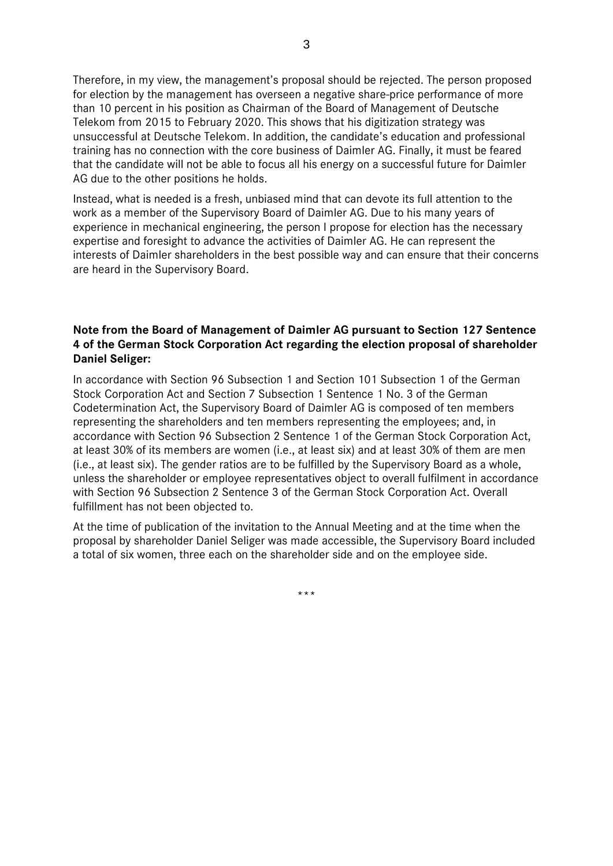Therefore, in my view, the management's proposal should be rejected. The person proposed for election by the management has overseen a negative share-price performance of more than 10 percent in his position as Chairman of the Board of Management of Deutsche Telekom from 2015 to February 2020. This shows that his digitization strategy was unsuccessful at Deutsche Telekom. In addition, the candidate's education and professional training has no connection with the core business of Daimler AG. Finally, it must be feared that the candidate will not be able to focus all his energy on a successful future for Daimler AG due to the other positions he holds.

Instead, what is needed is a fresh, unbiased mind that can devote its full attention to the work as a member of the Supervisory Board of Daimler AG. Due to his many years of experience in mechanical engineering, the person I propose for election has the necessary expertise and foresight to advance the activities of Daimler AG. He can represent the interests of Daimler shareholders in the best possible way and can ensure that their concerns are heard in the Supervisory Board.

## **Note from the Board of Management of Daimler AG pursuant to Section 127 Sentence 4 of the German Stock Corporation Act regarding the election proposal of shareholder Daniel Seliger:**

In accordance with Section 96 Subsection 1 and Section 101 Subsection 1 of the German Stock Corporation Act and Section 7 Subsection 1 Sentence 1 No. 3 of the German Codetermination Act, the Supervisory Board of Daimler AG is composed of ten members representing the shareholders and ten members representing the employees; and, in accordance with Section 96 Subsection 2 Sentence 1 of the German Stock Corporation Act, at least 30% of its members are women (i.e., at least six) and at least 30% of them are men (i.e., at least six). The gender ratios are to be fulfilled by the Supervisory Board as a whole, unless the shareholder or employee representatives object to overall fulfilment in accordance with Section 96 Subsection 2 Sentence 3 of the German Stock Corporation Act. Overall fulfillment has not been objected to.

At the time of publication of the invitation to the Annual Meeting and at the time when the proposal by shareholder Daniel Seliger was made accessible, the Supervisory Board included a total of six women, three each on the shareholder side and on the employee side.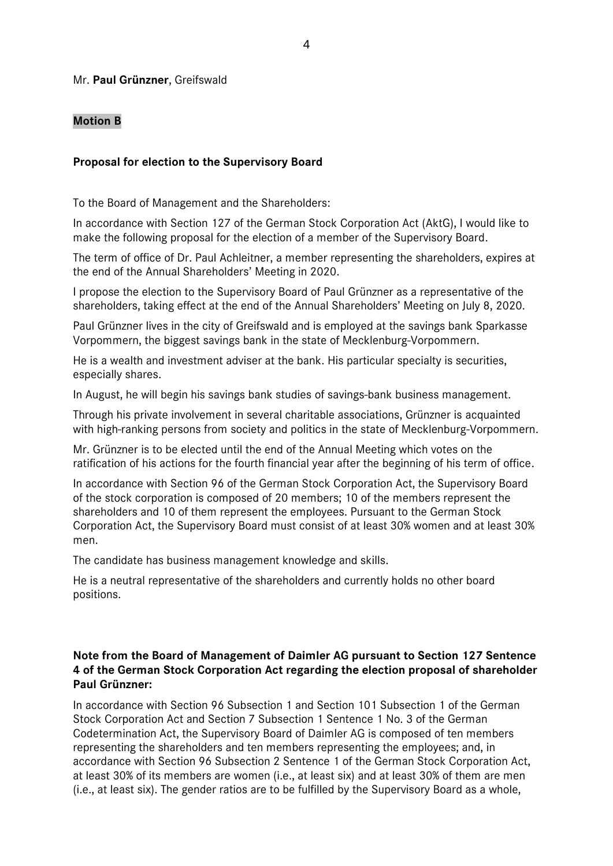#### Mr. **Paul Grünzner**, Greifswald

## **Motion B**

#### **Proposal for election to the Supervisory Board**

To the Board of Management and the Shareholders:

In accordance with Section 127 of the German Stock Corporation Act (AktG), I would like to make the following proposal for the election of a member of the Supervisory Board.

The term of office of Dr. Paul Achleitner, a member representing the shareholders, expires at the end of the Annual Shareholders' Meeting in 2020.

I propose the election to the Supervisory Board of Paul Grünzner as a representative of the shareholders, taking effect at the end of the Annual Shareholders' Meeting on July 8, 2020.

Paul Grünzner lives in the city of Greifswald and is employed at the savings bank Sparkasse Vorpommern, the biggest savings bank in the state of Mecklenburg-Vorpommern.

He is a wealth and investment adviser at the bank. His particular specialty is securities, especially shares.

In August, he will begin his savings bank studies of savings-bank business management.

Through his private involvement in several charitable associations, Grünzner is acquainted with high-ranking persons from society and politics in the state of Mecklenburg-Vorpommern.

Mr. Grünzner is to be elected until the end of the Annual Meeting which votes on the ratification of his actions for the fourth financial year after the beginning of his term of office.

In accordance with Section 96 of the German Stock Corporation Act, the Supervisory Board of the stock corporation is composed of 20 members; 10 of the members represent the shareholders and 10 of them represent the employees. Pursuant to the German Stock Corporation Act, the Supervisory Board must consist of at least 30% women and at least 30% men.

The candidate has business management knowledge and skills.

He is a neutral representative of the shareholders and currently holds no other board positions.

## **Note from the Board of Management of Daimler AG pursuant to Section 127 Sentence 4 of the German Stock Corporation Act regarding the election proposal of shareholder Paul Grünzner:**

In accordance with Section 96 Subsection 1 and Section 101 Subsection 1 of the German Stock Corporation Act and Section 7 Subsection 1 Sentence 1 No. 3 of the German Codetermination Act, the Supervisory Board of Daimler AG is composed of ten members representing the shareholders and ten members representing the employees; and, in accordance with Section 96 Subsection 2 Sentence 1 of the German Stock Corporation Act, at least 30% of its members are women (i.e., at least six) and at least 30% of them are men (i.e., at least six). The gender ratios are to be fulfilled by the Supervisory Board as a whole,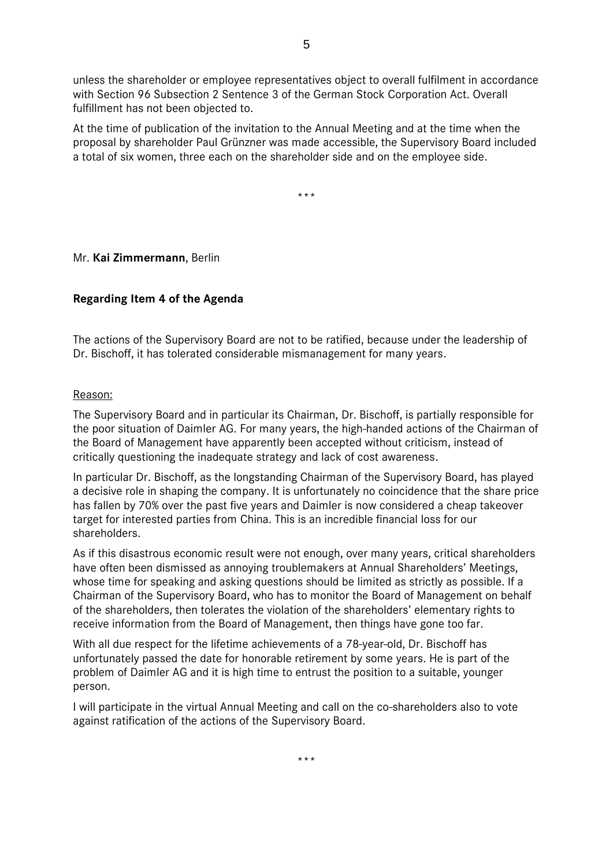unless the shareholder or employee representatives object to overall fulfilment in accordance with Section 96 Subsection 2 Sentence 3 of the German Stock Corporation Act. Overall fulfillment has not been objected to.

At the time of publication of the invitation to the Annual Meeting and at the time when the proposal by shareholder Paul Grünzner was made accessible, the Supervisory Board included a total of six women, three each on the shareholder side and on the employee side.

\*\*\*

## Mr. **Kai Zimmermann**, Berlin

## **Regarding Item 4 of the Agenda**

The actions of the Supervisory Board are not to be ratified, because under the leadership of Dr. Bischoff, it has tolerated considerable mismanagement for many years.

#### Reason:

The Supervisory Board and in particular its Chairman, Dr. Bischoff, is partially responsible for the poor situation of Daimler AG. For many years, the high-handed actions of the Chairman of the Board of Management have apparently been accepted without criticism, instead of critically questioning the inadequate strategy and lack of cost awareness.

In particular Dr. Bischoff, as the longstanding Chairman of the Supervisory Board, has played a decisive role in shaping the company. It is unfortunately no coincidence that the share price has fallen by 70% over the past five years and Daimler is now considered a cheap takeover target for interested parties from China. This is an incredible financial loss for our shareholders.

As if this disastrous economic result were not enough, over many years, critical shareholders have often been dismissed as annoying troublemakers at Annual Shareholders' Meetings, whose time for speaking and asking questions should be limited as strictly as possible. If a Chairman of the Supervisory Board, who has to monitor the Board of Management on behalf of the shareholders, then tolerates the violation of the shareholders' elementary rights to receive information from the Board of Management, then things have gone too far.

With all due respect for the lifetime achievements of a 78-year-old, Dr. Bischoff has unfortunately passed the date for honorable retirement by some years. He is part of the problem of Daimler AG and it is high time to entrust the position to a suitable, younger person.

I will participate in the virtual Annual Meeting and call on the co-shareholders also to vote against ratification of the actions of the Supervisory Board.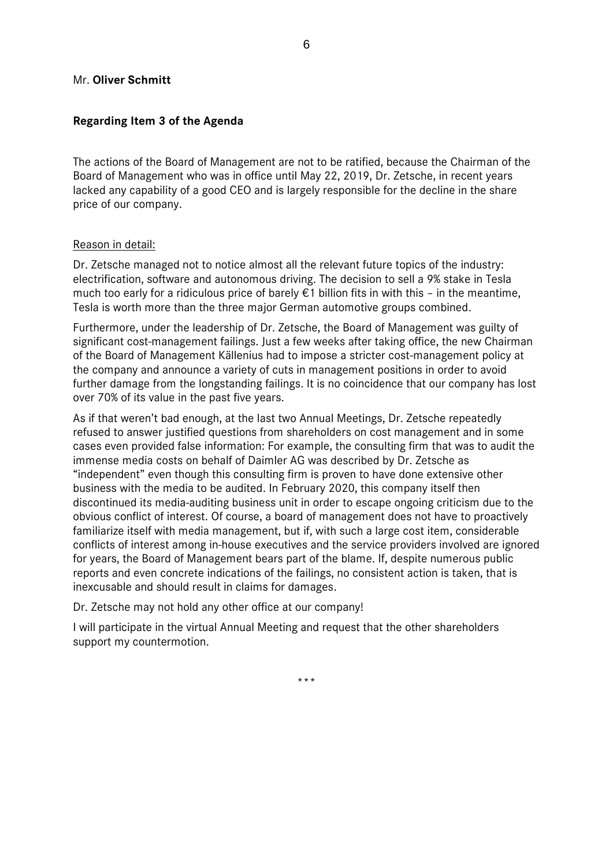#### Mr. **Oliver Schmitt**

## **Regarding Item 3 of the Agenda**

The actions of the Board of Management are not to be ratified, because the Chairman of the Board of Management who was in office until May 22, 2019, Dr. Zetsche, in recent years lacked any capability of a good CEO and is largely responsible for the decline in the share price of our company.

## Reason in detail:

Dr. Zetsche managed not to notice almost all the relevant future topics of the industry: electrification, software and autonomous driving. The decision to sell a 9% stake in Tesla much too early for a ridiculous price of barely  $\epsilon$ 1 billion fits in with this - in the meantime, Tesla is worth more than the three major German automotive groups combined.

Furthermore, under the leadership of Dr. Zetsche, the Board of Management was guilty of significant cost-management failings. Just a few weeks after taking office, the new Chairman of the Board of Management Källenius had to impose a stricter cost-management policy at the company and announce a variety of cuts in management positions in order to avoid further damage from the longstanding failings. It is no coincidence that our company has lost over 70% of its value in the past five years.

As if that weren't bad enough, at the last two Annual Meetings, Dr. Zetsche repeatedly refused to answer justified questions from shareholders on cost management and in some cases even provided false information: For example, the consulting firm that was to audit the immense media costs on behalf of Daimler AG was described by Dr. Zetsche as "independent" even though this consulting firm is proven to have done extensive other business with the media to be audited. In February 2020, this company itself then discontinued its media-auditing business unit in order to escape ongoing criticism due to the obvious conflict of interest. Of course, a board of management does not have to proactively familiarize itself with media management, but if, with such a large cost item, considerable conflicts of interest among in-house executives and the service providers involved are ignored for years, the Board of Management bears part of the blame. If, despite numerous public reports and even concrete indications of the failings, no consistent action is taken, that is inexcusable and should result in claims for damages.

Dr. Zetsche may not hold any other office at our company!

I will participate in the virtual Annual Meeting and request that the other shareholders support my countermotion.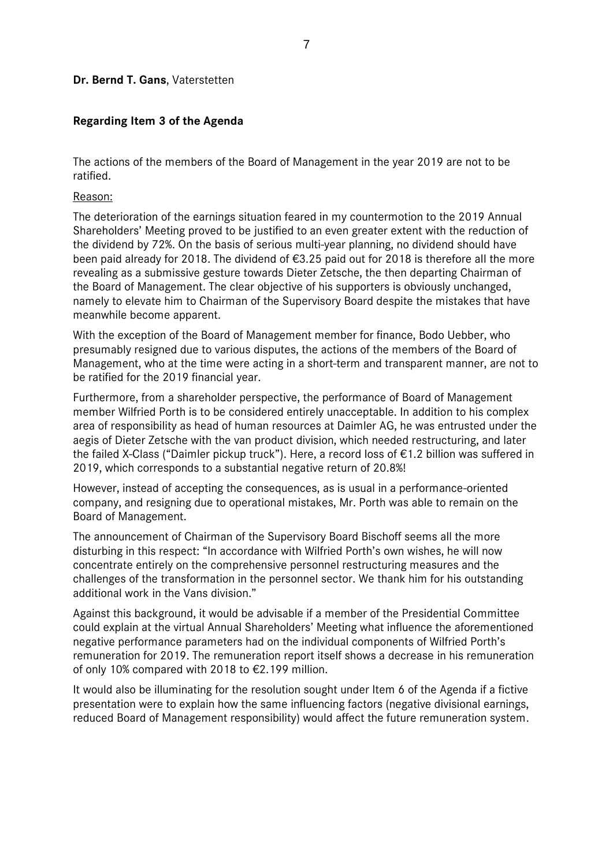#### **Dr. Bernd T. Gans**, Vaterstetten

## **Regarding Item 3 of the Agenda**

The actions of the members of the Board of Management in the year 2019 are not to be ratified.

Reason:

The deterioration of the earnings situation feared in my countermotion to the 2019 Annual Shareholders' Meeting proved to be justified to an even greater extent with the reduction of the dividend by 72%. On the basis of serious multi-year planning, no dividend should have been paid already for 2018. The dividend of €3.25 paid out for 2018 is therefore all the more revealing as a submissive gesture towards Dieter Zetsche, the then departing Chairman of the Board of Management. The clear objective of his supporters is obviously unchanged, namely to elevate him to Chairman of the Supervisory Board despite the mistakes that have meanwhile become apparent.

With the exception of the Board of Management member for finance, Bodo Uebber, who presumably resigned due to various disputes, the actions of the members of the Board of Management, who at the time were acting in a short-term and transparent manner, are not to be ratified for the 2019 financial year.

Furthermore, from a shareholder perspective, the performance of Board of Management member Wilfried Porth is to be considered entirely unacceptable. In addition to his complex area of responsibility as head of human resources at Daimler AG, he was entrusted under the aegis of Dieter Zetsche with the van product division, which needed restructuring, and later the failed X-Class ("Daimler pickup truck"). Here, a record loss of €1.2 billion was suffered in 2019, which corresponds to a substantial negative return of 20.8%!

However, instead of accepting the consequences, as is usual in a performance-oriented company, and resigning due to operational mistakes, Mr. Porth was able to remain on the Board of Management.

The announcement of Chairman of the Supervisory Board Bischoff seems all the more disturbing in this respect: "In accordance with Wilfried Porth's own wishes, he will now concentrate entirely on the comprehensive personnel restructuring measures and the challenges of the transformation in the personnel sector. We thank him for his outstanding additional work in the Vans division."

Against this background, it would be advisable if a member of the Presidential Committee could explain at the virtual Annual Shareholders' Meeting what influence the aforementioned negative performance parameters had on the individual components of Wilfried Porth's remuneration for 2019. The remuneration report itself shows a decrease in his remuneration of only 10% compared with 2018 to €2.199 million.

It would also be illuminating for the resolution sought under Item 6 of the Agenda if a fictive presentation were to explain how the same influencing factors (negative divisional earnings, reduced Board of Management responsibility) would affect the future remuneration system.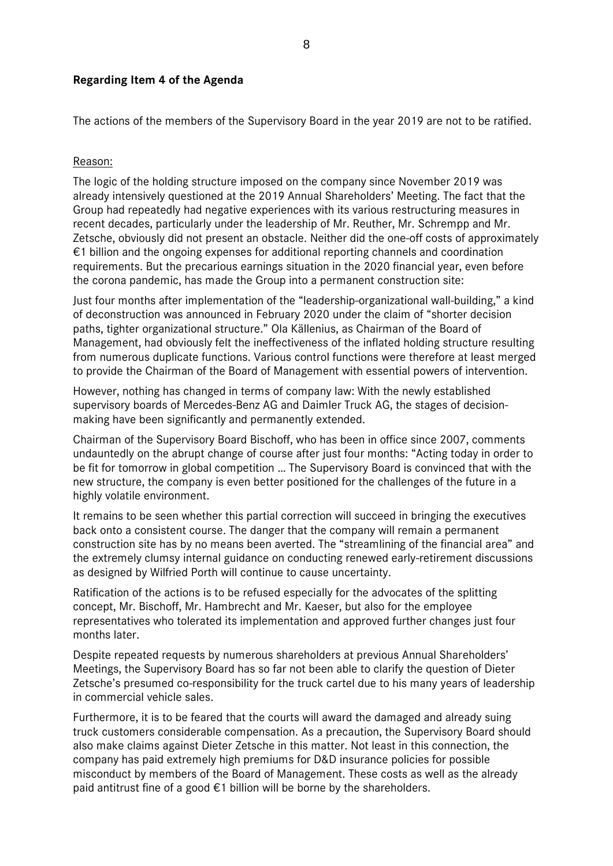## **Regarding Item 4 of the Agenda**

The actions of the members of the Supervisory Board in the year 2019 are not to be ratified.

#### Reason:

The logic of the holding structure imposed on the company since November 2019 was already intensively questioned at the 2019 Annual Shareholders' Meeting. The fact that the Group had repeatedly had negative experiences with its various restructuring measures in recent decades, particularly under the leadership of Mr. Reuther, Mr. Schrempp and Mr. Zetsche, obviously did not present an obstacle. Neither did the one-off costs of approximately €1 billion and the ongoing expenses for additional reporting channels and coordination requirements. But the precarious earnings situation in the 2020 financial year, even before the corona pandemic, has made the Group into a permanent construction site:

Just four months after implementation of the "leadership-organizational wall-building," a kind of deconstruction was announced in February 2020 under the claim of "shorter decision paths, tighter organizational structure." Ola Källenius, as Chairman of the Board of Management, had obviously felt the ineffectiveness of the inflated holding structure resulting from numerous duplicate functions. Various control functions were therefore at least merged to provide the Chairman of the Board of Management with essential powers of intervention.

However, nothing has changed in terms of company law: With the newly established supervisory boards of Mercedes-Benz AG and Daimler Truck AG, the stages of decisionmaking have been significantly and permanently extended.

Chairman of the Supervisory Board Bischoff, who has been in office since 2007, comments undauntedly on the abrupt change of course after just four months: "Acting today in order to be fit for tomorrow in global competition … The Supervisory Board is convinced that with the new structure, the company is even better positioned for the challenges of the future in a highly volatile environment.

It remains to be seen whether this partial correction will succeed in bringing the executives back onto a consistent course. The danger that the company will remain a permanent construction site has by no means been averted. The "streamlining of the financial area" and the extremely clumsy internal guidance on conducting renewed early-retirement discussions as designed by Wilfried Porth will continue to cause uncertainty.

Ratification of the actions is to be refused especially for the advocates of the splitting concept, Mr. Bischoff, Mr. Hambrecht and Mr. Kaeser, but also for the employee representatives who tolerated its implementation and approved further changes just four months later.

Despite repeated requests by numerous shareholders at previous Annual Shareholders' Meetings, the Supervisory Board has so far not been able to clarify the question of Dieter Zetsche's presumed co-responsibility for the truck cartel due to his many years of leadership in commercial vehicle sales.

Furthermore, it is to be feared that the courts will award the damaged and already suing truck customers considerable compensation. As a precaution, the Supervisory Board should also make claims against Dieter Zetsche in this matter. Not least in this connection, the company has paid extremely high premiums for D&D insurance policies for possible misconduct by members of the Board of Management. These costs as well as the already paid antitrust fine of a good  $\epsilon$ 1 billion will be borne by the shareholders.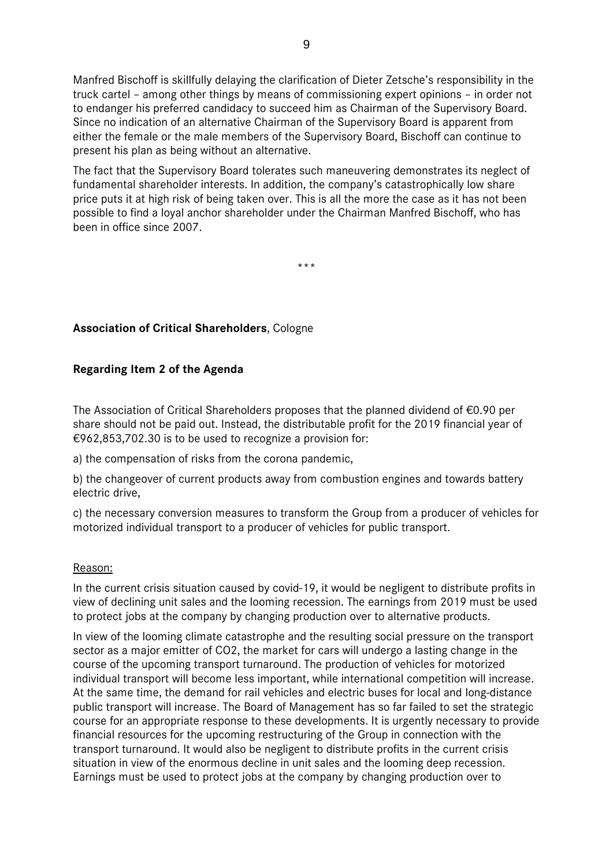Manfred Bischoff is skillfully delaying the clarification of Dieter Zetsche's responsibility in the truck cartel – among other things by means of commissioning expert opinions – in order not to endanger his preferred candidacy to succeed him as Chairman of the Supervisory Board. Since no indication of an alternative Chairman of the Supervisory Board is apparent from either the female or the male members of the Supervisory Board, Bischoff can continue to present his plan as being without an alternative.

The fact that the Supervisory Board tolerates such maneuvering demonstrates its neglect of fundamental shareholder interests. In addition, the company's catastrophically low share price puts it at high risk of being taken over. This is all the more the case as it has not been possible to find a loyal anchor shareholder under the Chairman Manfred Bischoff, who has been in office since 2007.

\*\*\*

## **Association of Critical Shareholders**, Cologne

## **Regarding Item 2 of the Agenda**

The Association of Critical Shareholders proposes that the planned dividend of €0.90 per share should not be paid out. Instead, the distributable profit for the 2019 financial year of €962,853,702.30 is to be used to recognize a provision for:

a) the compensation of risks from the corona pandemic,

b) the changeover of current products away from combustion engines and towards battery electric drive,

c) the necessary conversion measures to transform the Group from a producer of vehicles for motorized individual transport to a producer of vehicles for public transport.

## Reason:

In the current crisis situation caused by covid-19, it would be negligent to distribute profits in view of declining unit sales and the looming recession. The earnings from 2019 must be used to protect jobs at the company by changing production over to alternative products.

In view of the looming climate catastrophe and the resulting social pressure on the transport sector as a major emitter of CO2, the market for cars will undergo a lasting change in the course of the upcoming transport turnaround. The production of vehicles for motorized individual transport will become less important, while international competition will increase. At the same time, the demand for rail vehicles and electric buses for local and long-distance public transport will increase. The Board of Management has so far failed to set the strategic course for an appropriate response to these developments. It is urgently necessary to provide financial resources for the upcoming restructuring of the Group in connection with the transport turnaround. It would also be negligent to distribute profits in the current crisis situation in view of the enormous decline in unit sales and the looming deep recession. Earnings must be used to protect jobs at the company by changing production over to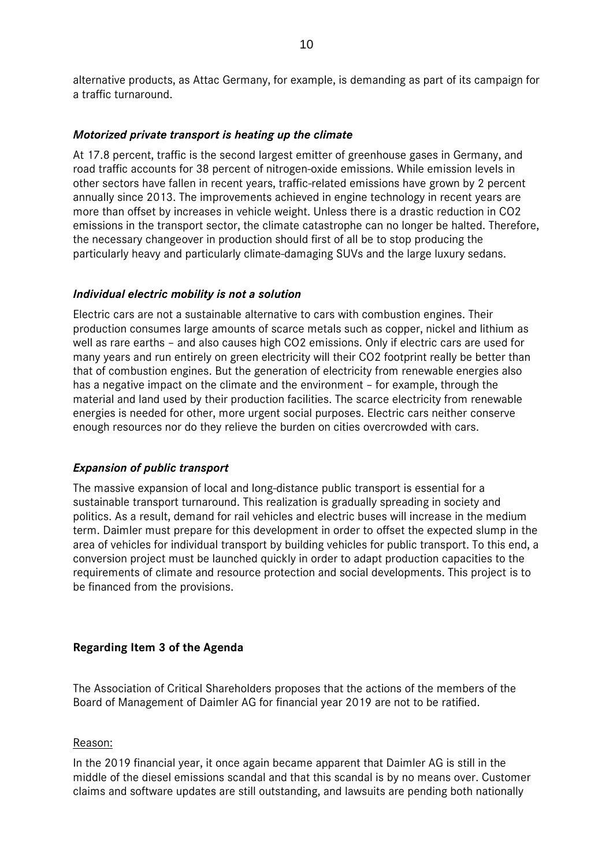alternative products, as Attac Germany, for example, is demanding as part of its campaign for a traffic turnaround.

## *Motorized private transport is heating up the climate*

At 17.8 percent, traffic is the second largest emitter of greenhouse gases in Germany, and road traffic accounts for 38 percent of nitrogen-oxide emissions. While emission levels in other sectors have fallen in recent years, traffic-related emissions have grown by 2 percent annually since 2013. The improvements achieved in engine technology in recent years are more than offset by increases in vehicle weight. Unless there is a drastic reduction in CO2 emissions in the transport sector, the climate catastrophe can no longer be halted. Therefore, the necessary changeover in production should first of all be to stop producing the particularly heavy and particularly climate-damaging SUVs and the large luxury sedans.

## *Individual electric mobility is not a solution*

Electric cars are not a sustainable alternative to cars with combustion engines. Their production consumes large amounts of scarce metals such as copper, nickel and lithium as well as rare earths – and also causes high CO2 emissions. Only if electric cars are used for many years and run entirely on green electricity will their CO2 footprint really be better than that of combustion engines. But the generation of electricity from renewable energies also has a negative impact on the climate and the environment – for example, through the material and land used by their production facilities. The scarce electricity from renewable energies is needed for other, more urgent social purposes. Electric cars neither conserve enough resources nor do they relieve the burden on cities overcrowded with cars.

## *Expansion of public transport*

The massive expansion of local and long-distance public transport is essential for a sustainable transport turnaround. This realization is gradually spreading in society and politics. As a result, demand for rail vehicles and electric buses will increase in the medium term. Daimler must prepare for this development in order to offset the expected slump in the area of vehicles for individual transport by building vehicles for public transport. To this end, a conversion project must be launched quickly in order to adapt production capacities to the requirements of climate and resource protection and social developments. This project is to be financed from the provisions.

## **Regarding Item 3 of the Agenda**

The Association of Critical Shareholders proposes that the actions of the members of the Board of Management of Daimler AG for financial year 2019 are not to be ratified.

#### Reason:

In the 2019 financial year, it once again became apparent that Daimler AG is still in the middle of the diesel emissions scandal and that this scandal is by no means over. Customer claims and software updates are still outstanding, and lawsuits are pending both nationally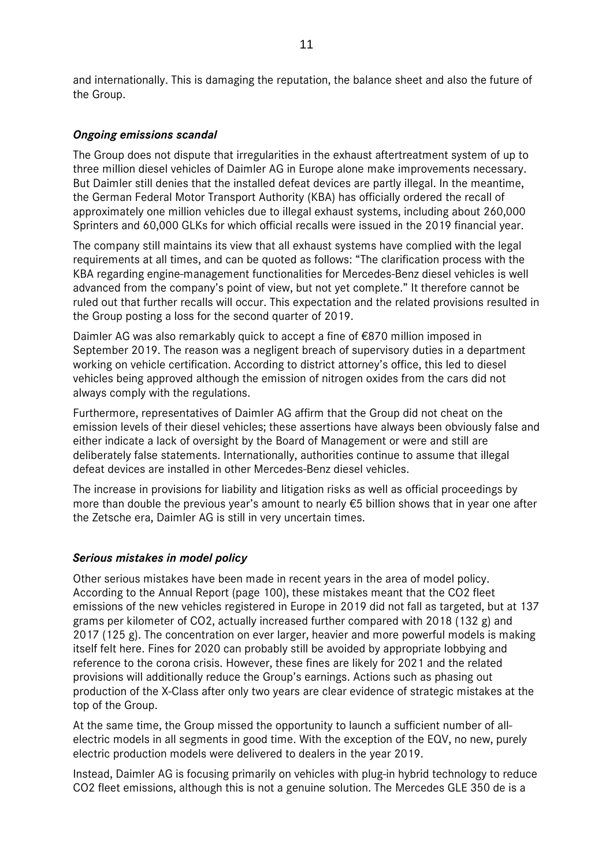and internationally. This is damaging the reputation, the balance sheet and also the future of the Group.

## *Ongoing emissions scandal*

The Group does not dispute that irregularities in the exhaust aftertreatment system of up to three million diesel vehicles of Daimler AG in Europe alone make improvements necessary. But Daimler still denies that the installed defeat devices are partly illegal. In the meantime, the German Federal Motor Transport Authority (KBA) has officially ordered the recall of approximately one million vehicles due to illegal exhaust systems, including about 260,000 Sprinters and 60,000 GLKs for which official recalls were issued in the 2019 financial year.

The company still maintains its view that all exhaust systems have complied with the legal requirements at all times, and can be quoted as follows: "The clarification process with the KBA regarding engine-management functionalities for Mercedes-Benz diesel vehicles is well advanced from the company's point of view, but not yet complete." It therefore cannot be ruled out that further recalls will occur. This expectation and the related provisions resulted in the Group posting a loss for the second quarter of 2019.

Daimler AG was also remarkably quick to accept a fine of €870 million imposed in September 2019. The reason was a negligent breach of supervisory duties in a department working on vehicle certification. According to district attorney's office, this led to diesel vehicles being approved although the emission of nitrogen oxides from the cars did not always comply with the regulations.

Furthermore, representatives of Daimler AG affirm that the Group did not cheat on the emission levels of their diesel vehicles; these assertions have always been obviously false and either indicate a lack of oversight by the Board of Management or were and still are deliberately false statements. Internationally, authorities continue to assume that illegal defeat devices are installed in other Mercedes-Benz diesel vehicles.

The increase in provisions for liability and litigation risks as well as official proceedings by more than double the previous year's amount to nearly €5 billion shows that in year one after the Zetsche era, Daimler AG is still in very uncertain times.

## *Serious mistakes in model policy*

Other serious mistakes have been made in recent years in the area of model policy. According to the Annual Report (page 100), these mistakes meant that the CO2 fleet emissions of the new vehicles registered in Europe in 2019 did not fall as targeted, but at 137 grams per kilometer of CO2, actually increased further compared with 2018 (132 g) and 2017 (125 g). The concentration on ever larger, heavier and more powerful models is making itself felt here. Fines for 2020 can probably still be avoided by appropriate lobbying and reference to the corona crisis. However, these fines are likely for 2021 and the related provisions will additionally reduce the Group's earnings. Actions such as phasing out production of the X-Class after only two years are clear evidence of strategic mistakes at the top of the Group.

At the same time, the Group missed the opportunity to launch a sufficient number of allelectric models in all segments in good time. With the exception of the EQV, no new, purely electric production models were delivered to dealers in the year 2019.

Instead, Daimler AG is focusing primarily on vehicles with plug-in hybrid technology to reduce CO2 fleet emissions, although this is not a genuine solution. The Mercedes GLE 350 de is a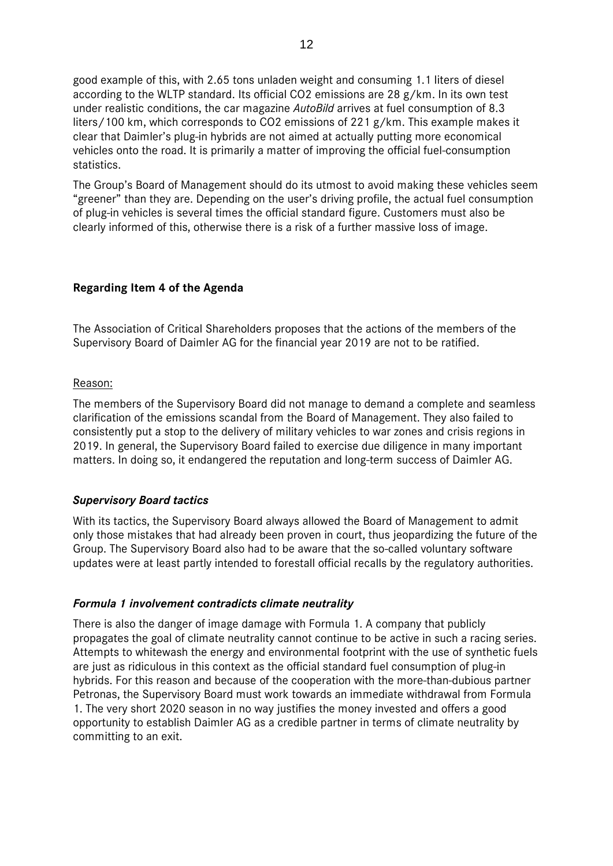good example of this, with 2.65 tons unladen weight and consuming 1.1 liters of diesel according to the WLTP standard. Its official CO2 emissions are 28 g/km. In its own test under realistic conditions, the car magazine *AutoBild* arrives at fuel consumption of 8.3 liters/100 km, which corresponds to CO2 emissions of 221 g/km. This example makes it clear that Daimler's plug-in hybrids are not aimed at actually putting more economical vehicles onto the road. It is primarily a matter of improving the official fuel-consumption statistics.

The Group's Board of Management should do its utmost to avoid making these vehicles seem "greener" than they are. Depending on the user's driving profile, the actual fuel consumption of plug-in vehicles is several times the official standard figure. Customers must also be clearly informed of this, otherwise there is a risk of a further massive loss of image.

## **Regarding Item 4 of the Agenda**

The Association of Critical Shareholders proposes that the actions of the members of the Supervisory Board of Daimler AG for the financial year 2019 are not to be ratified.

#### Reason:

The members of the Supervisory Board did not manage to demand a complete and seamless clarification of the emissions scandal from the Board of Management. They also failed to consistently put a stop to the delivery of military vehicles to war zones and crisis regions in 2019. In general, the Supervisory Board failed to exercise due diligence in many important matters. In doing so, it endangered the reputation and long-term success of Daimler AG.

## *Supervisory Board tactics*

With its tactics, the Supervisory Board always allowed the Board of Management to admit only those mistakes that had already been proven in court, thus jeopardizing the future of the Group. The Supervisory Board also had to be aware that the so-called voluntary software updates were at least partly intended to forestall official recalls by the regulatory authorities.

## *Formula 1 involvement contradicts climate neutrality*

There is also the danger of image damage with Formula 1. A company that publicly propagates the goal of climate neutrality cannot continue to be active in such a racing series. Attempts to whitewash the energy and environmental footprint with the use of synthetic fuels are just as ridiculous in this context as the official standard fuel consumption of plug-in hybrids. For this reason and because of the cooperation with the more-than-dubious partner Petronas, the Supervisory Board must work towards an immediate withdrawal from Formula 1. The very short 2020 season in no way justifies the money invested and offers a good opportunity to establish Daimler AG as a credible partner in terms of climate neutrality by committing to an exit.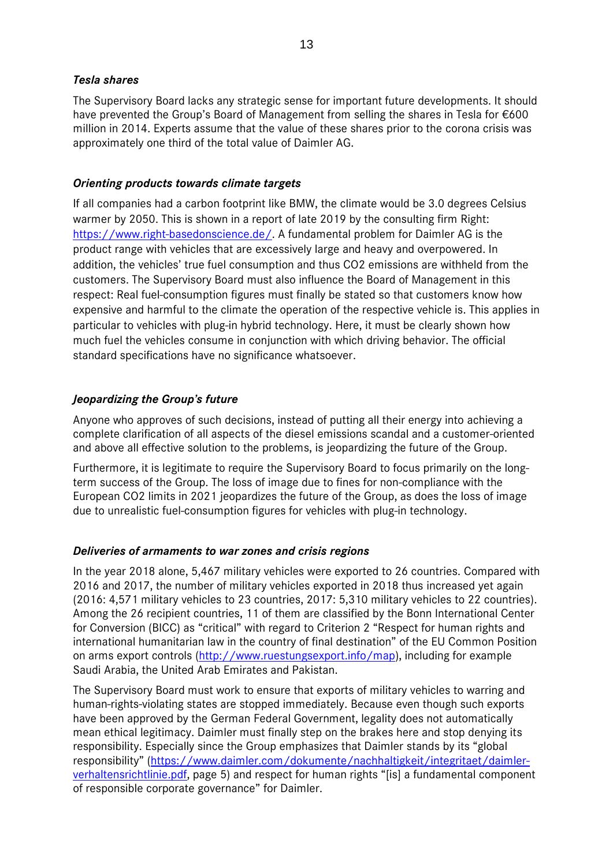## *Tesla shares*

The Supervisory Board lacks any strategic sense for important future developments. It should have prevented the Group's Board of Management from selling the shares in Tesla for €600 million in 2014. Experts assume that the value of these shares prior to the corona crisis was approximately one third of the total value of Daimler AG.

## *Orienting products towards climate targets*

If all companies had a carbon footprint like BMW, the climate would be 3.0 degrees Celsius warmer by 2050. This is shown in a report of late 2019 by the consulting firm Right: [https://www.right-basedonscience.de/.](https://www.right-basedonscience.de/) A fundamental problem for Daimler AG is the product range with vehicles that are excessively large and heavy and overpowered. In addition, the vehicles' true fuel consumption and thus CO2 emissions are withheld from the customers. The Supervisory Board must also influence the Board of Management in this respect: Real fuel-consumption figures must finally be stated so that customers know how expensive and harmful to the climate the operation of the respective vehicle is. This applies in particular to vehicles with plug-in hybrid technology. Here, it must be clearly shown how much fuel the vehicles consume in conjunction with which driving behavior. The official standard specifications have no significance whatsoever.

## *Jeopardizing the Group's future*

Anyone who approves of such decisions, instead of putting all their energy into achieving a complete clarification of all aspects of the diesel emissions scandal and a customer-oriented and above all effective solution to the problems, is jeopardizing the future of the Group.

Furthermore, it is legitimate to require the Supervisory Board to focus primarily on the longterm success of the Group. The loss of image due to fines for non-compliance with the European CO2 limits in 2021 jeopardizes the future of the Group, as does the loss of image due to unrealistic fuel-consumption figures for vehicles with plug-in technology.

## *Deliveries of armaments to war zones and crisis regions*

In the year 2018 alone, 5,467 military vehicles were exported to 26 countries. Compared with 2016 and 2017, the number of military vehicles exported in 2018 thus increased yet again (2016: 4,571 military vehicles to 23 countries, 2017: 5,310 military vehicles to 22 countries). Among the 26 recipient countries, 11 of them are classified by the Bonn International Center for Conversion (BICC) as "critical" with regard to Criterion 2 "Respect for human rights and international humanitarian law in the country of final destination" of the EU Common Position on arms export controls [\(http://www.ruestungsexport.info/map\)](http://www.ruestungsexport.info/map), including for example Saudi Arabia, the United Arab Emirates and Pakistan.

The Supervisory Board must work to ensure that exports of military vehicles to warring and human-rights-violating states are stopped immediately. Because even though such exports have been approved by the German Federal Government, legality does not automatically mean ethical legitimacy. Daimler must finally step on the brakes here and stop denying its responsibility. Especially since the Group emphasizes that Daimler stands by its "global responsibility" [\(https://www.daimler.com/dokumente/nachhaltigkeit/integritaet/daimler](https://www.daimler.com/dokumente/nachhaltigkeit/integritaet/daimler-verhaltensrichtlinie.pdf)[verhaltensrichtlinie.pdf,](https://www.daimler.com/dokumente/nachhaltigkeit/integritaet/daimler-verhaltensrichtlinie.pdf) page 5) and respect for human rights "[is] a fundamental component of responsible corporate governance" for Daimler.